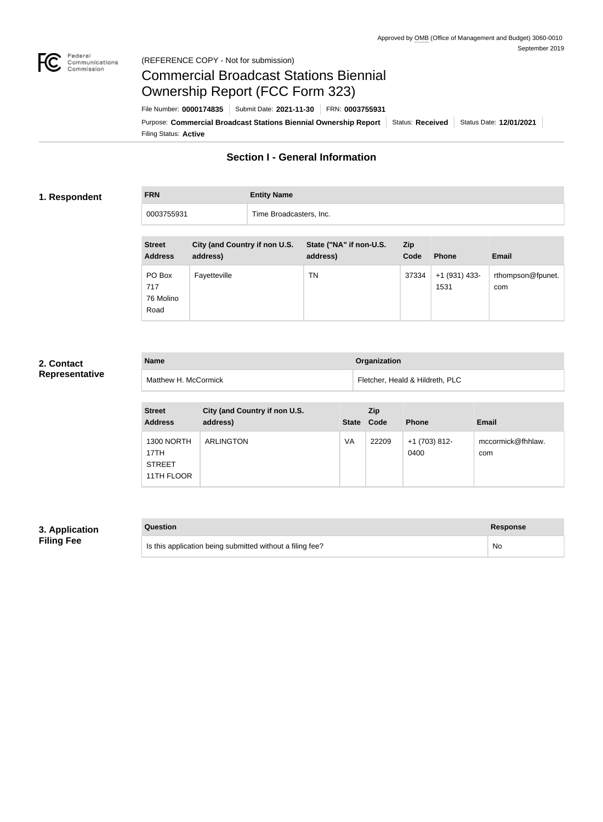

## Federal<br>Communications<br>Commission (REFERENCE COPY - Not for submission)

# Commercial Broadcast Stations Biennial Ownership Report (FCC Form 323)

Filing Status: **Active** Purpose: Commercial Broadcast Stations Biennial Ownership Report Status: Received Status Date: 12/01/2021 File Number: **0000174835** Submit Date: **2021-11-30** FRN: **0003755931**

## **Section I - General Information**

## **1. Respondent**

**FRN Entity Name** 0003755931 Time Broadcasters, Inc.

| <b>Street</b><br><b>Address</b>    | City (and Country if non U.S.<br>address) | State ("NA" if non-U.S.<br>address) | Zip<br>Code | <b>Phone</b>          | <b>Email</b>             |
|------------------------------------|-------------------------------------------|-------------------------------------|-------------|-----------------------|--------------------------|
| PO Box<br>717<br>76 Molino<br>Road | Fayetteville                              | TN                                  | 37334       | +1 (931) 433-<br>1531 | rthompson@fpunet.<br>com |

## **2. Contact Representative**

| <b>Name</b>          | <b>Organization</b>             |
|----------------------|---------------------------------|
| Matthew H. McCormick | Fletcher, Heald & Hildreth, PLC |

| <b>Street</b><br><b>Address</b>                          | City (and Country if non U.S.<br>address) | <b>State</b> | Zip<br>Code | <b>Phone</b>          | <b>Email</b>             |
|----------------------------------------------------------|-------------------------------------------|--------------|-------------|-----------------------|--------------------------|
| <b>1300 NORTH</b><br>17TH<br><b>STREET</b><br>11TH FLOOR | <b>ARLINGTON</b>                          | VA           | 22209       | +1 (703) 812-<br>0400 | mccormick@fhhlaw.<br>com |

## **3. Application Filing Fee**

| Question                                                  | <b>Response</b> |
|-----------------------------------------------------------|-----------------|
| Is this application being submitted without a filing fee? | No.             |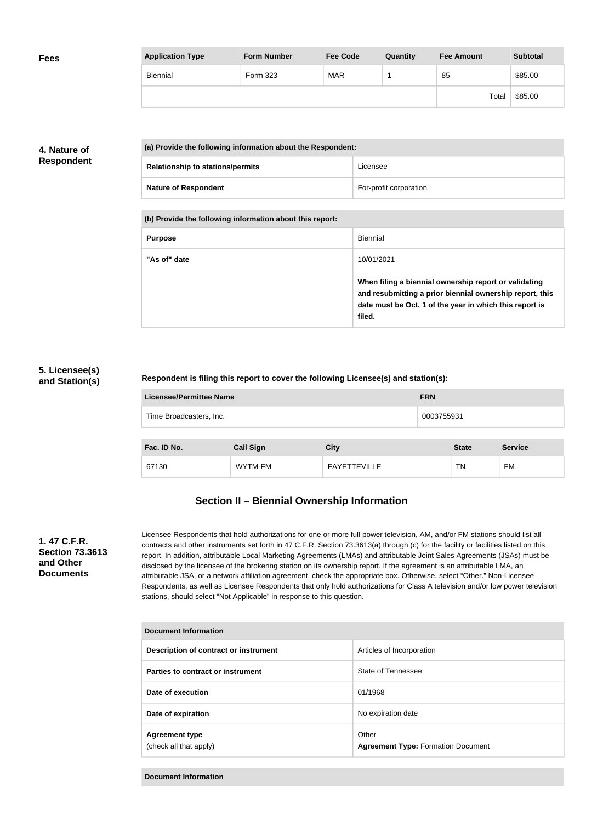| <b>Fees</b> | <b>Application Type</b> | <b>Form Number</b> | <b>Fee Code</b> | Quantity | <b>Fee Amount</b> | <b>Subtotal</b> |
|-------------|-------------------------|--------------------|-----------------|----------|-------------------|-----------------|
|             | Biennial                | Form 323           | <b>MAR</b>      |          | 85                | \$85.00         |
|             |                         |                    |                 |          | Total             | \$85.00         |

## **4. Nature of Respondent**

| (a) Provide the following information about the Respondent: |                        |
|-------------------------------------------------------------|------------------------|
| <b>Relationship to stations/permits</b>                     | Licensee               |
| <b>Nature of Respondent</b>                                 | For-profit corporation |

**(b) Provide the following information about this report:**

| <b>Purpose</b> | <b>Biennial</b>                                                                                                                                                                        |
|----------------|----------------------------------------------------------------------------------------------------------------------------------------------------------------------------------------|
| "As of" date   | 10/01/2021                                                                                                                                                                             |
|                | When filing a biennial ownership report or validating<br>and resubmitting a prior biennial ownership report, this<br>date must be Oct. 1 of the year in which this report is<br>filed. |

## **5. Licensee(s) and Station(s)**

## **Respondent is filing this report to cover the following Licensee(s) and station(s):**

| Licensee/Permittee Name | <b>FRN</b> |
|-------------------------|------------|
| Time Broadcasters, Inc. | 0003755931 |
|                         |            |

| Fac. ID No. | <b>Call Sign</b> | City                | <b>State</b> | <b>Service</b> |
|-------------|------------------|---------------------|--------------|----------------|
| 67130       | WYTM-FM          | <b>FAYETTEVILLE</b> | <b>TN</b>    | FM             |

## **Section II – Biennial Ownership Information**

## **1. 47 C.F.R. Section 73.3613 and Other Documents**

Licensee Respondents that hold authorizations for one or more full power television, AM, and/or FM stations should list all contracts and other instruments set forth in 47 C.F.R. Section 73.3613(a) through (c) for the facility or facilities listed on this report. In addition, attributable Local Marketing Agreements (LMAs) and attributable Joint Sales Agreements (JSAs) must be disclosed by the licensee of the brokering station on its ownership report. If the agreement is an attributable LMA, an attributable JSA, or a network affiliation agreement, check the appropriate box. Otherwise, select "Other." Non-Licensee Respondents, as well as Licensee Respondents that only hold authorizations for Class A television and/or low power television stations, should select "Not Applicable" in response to this question.

| Document Information                            |                                                    |  |
|-------------------------------------------------|----------------------------------------------------|--|
| Description of contract or instrument           | Articles of Incorporation                          |  |
| Parties to contract or instrument               | State of Tennessee                                 |  |
| Date of execution                               | 01/1968                                            |  |
| Date of expiration                              | No expiration date                                 |  |
| <b>Agreement type</b><br>(check all that apply) | Other<br><b>Agreement Type: Formation Document</b> |  |

**Document Information**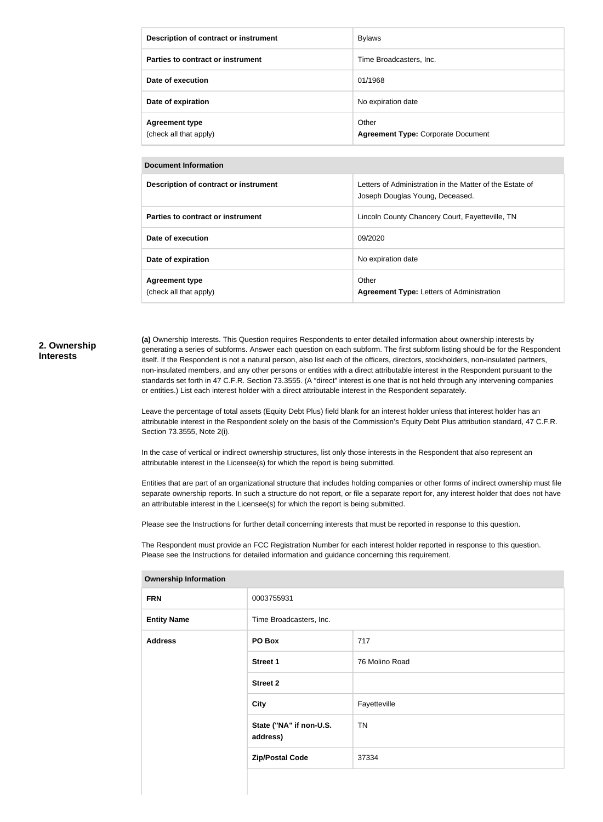| Description of contract or instrument           | <b>Bylaws</b>                                      |
|-------------------------------------------------|----------------------------------------------------|
| Parties to contract or instrument               | Time Broadcasters, Inc.                            |
| Date of execution                               | 01/1968                                            |
| Date of expiration                              | No expiration date                                 |
| <b>Agreement type</b><br>(check all that apply) | Other<br><b>Agreement Type: Corporate Document</b> |

## **Document Information**

| Description of contract or instrument           | Letters of Administration in the Matter of the Estate of<br>Joseph Douglas Young, Deceased. |
|-------------------------------------------------|---------------------------------------------------------------------------------------------|
| Parties to contract or instrument               | Lincoln County Chancery Court, Fayetteville, TN                                             |
| Date of execution                               | 09/2020                                                                                     |
| Date of expiration                              | No expiration date                                                                          |
| <b>Agreement type</b><br>(check all that apply) | Other<br><b>Agreement Type: Letters of Administration</b>                                   |

#### **2. Ownership Interests**

**(a)** Ownership Interests. This Question requires Respondents to enter detailed information about ownership interests by generating a series of subforms. Answer each question on each subform. The first subform listing should be for the Respondent itself. If the Respondent is not a natural person, also list each of the officers, directors, stockholders, non-insulated partners, non-insulated members, and any other persons or entities with a direct attributable interest in the Respondent pursuant to the standards set forth in 47 C.F.R. Section 73.3555. (A "direct" interest is one that is not held through any intervening companies or entities.) List each interest holder with a direct attributable interest in the Respondent separately.

Leave the percentage of total assets (Equity Debt Plus) field blank for an interest holder unless that interest holder has an attributable interest in the Respondent solely on the basis of the Commission's Equity Debt Plus attribution standard, 47 C.F.R. Section 73.3555, Note 2(i).

In the case of vertical or indirect ownership structures, list only those interests in the Respondent that also represent an attributable interest in the Licensee(s) for which the report is being submitted.

Entities that are part of an organizational structure that includes holding companies or other forms of indirect ownership must file separate ownership reports. In such a structure do not report, or file a separate report for, any interest holder that does not have an attributable interest in the Licensee(s) for which the report is being submitted.

Please see the Instructions for further detail concerning interests that must be reported in response to this question.

The Respondent must provide an FCC Registration Number for each interest holder reported in response to this question. Please see the Instructions for detailed information and guidance concerning this requirement.

| <b>Ownership Information</b> |                                     |                |  |
|------------------------------|-------------------------------------|----------------|--|
| <b>FRN</b>                   | 0003755931                          |                |  |
| <b>Entity Name</b>           | Time Broadcasters, Inc.             |                |  |
| <b>Address</b>               | PO Box                              | 717            |  |
|                              | <b>Street 1</b>                     | 76 Molino Road |  |
|                              | <b>Street 2</b>                     |                |  |
|                              | <b>City</b>                         | Fayetteville   |  |
|                              | State ("NA" if non-U.S.<br>address) | <b>TN</b>      |  |
|                              | <b>Zip/Postal Code</b>              | 37334          |  |
|                              |                                     |                |  |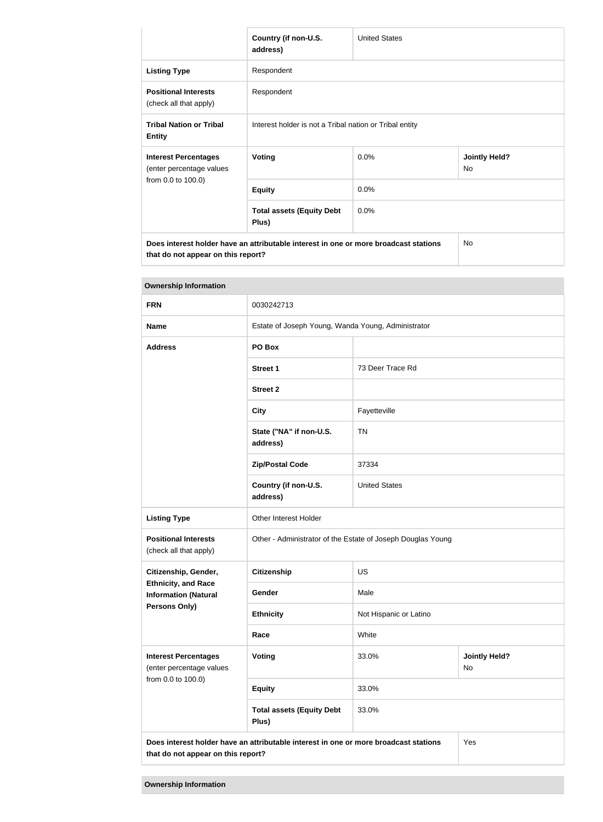|                                                                                      | Country (if non-U.S.<br>address)                        | <b>United States</b> |                            |
|--------------------------------------------------------------------------------------|---------------------------------------------------------|----------------------|----------------------------|
| <b>Listing Type</b>                                                                  | Respondent                                              |                      |                            |
| <b>Positional Interests</b><br>(check all that apply)                                | Respondent                                              |                      |                            |
| <b>Tribal Nation or Tribal</b><br><b>Entity</b>                                      | Interest holder is not a Tribal nation or Tribal entity |                      |                            |
| <b>Interest Percentages</b><br>(enter percentage values                              | <b>Voting</b>                                           | 0.0%                 | <b>Jointly Held?</b><br>No |
| from 0.0 to 100.0)                                                                   | <b>Equity</b>                                           | 0.0%                 |                            |
|                                                                                      | <b>Total assets (Equity Debt</b><br>Plus)               | 0.0%                 |                            |
| Does interest holder have an attributable interest in one or more broadcast stations |                                                         |                      | No                         |

**that do not appear on this report?**

| <b>Ownership Information</b>                                                                                                      |                                                             |                                            |  |  |
|-----------------------------------------------------------------------------------------------------------------------------------|-------------------------------------------------------------|--------------------------------------------|--|--|
| <b>FRN</b>                                                                                                                        | 0030242713                                                  |                                            |  |  |
| <b>Name</b>                                                                                                                       | Estate of Joseph Young, Wanda Young, Administrator          |                                            |  |  |
| <b>Address</b>                                                                                                                    | PO Box                                                      |                                            |  |  |
|                                                                                                                                   | <b>Street 1</b>                                             | 73 Deer Trace Rd                           |  |  |
|                                                                                                                                   | <b>Street 2</b>                                             |                                            |  |  |
|                                                                                                                                   | <b>City</b>                                                 | Fayetteville                               |  |  |
|                                                                                                                                   | State ("NA" if non-U.S.<br>address)                         | <b>TN</b>                                  |  |  |
|                                                                                                                                   | <b>Zip/Postal Code</b>                                      | 37334                                      |  |  |
|                                                                                                                                   | Country (if non-U.S.<br>address)                            | <b>United States</b>                       |  |  |
| <b>Listing Type</b>                                                                                                               | Other Interest Holder                                       |                                            |  |  |
| <b>Positional Interests</b><br>(check all that apply)                                                                             | Other - Administrator of the Estate of Joseph Douglas Young |                                            |  |  |
| Citizenship, Gender,                                                                                                              | <b>Citizenship</b>                                          | US                                         |  |  |
| <b>Ethnicity, and Race</b><br><b>Information (Natural</b>                                                                         | Gender                                                      | Male                                       |  |  |
| Persons Only)                                                                                                                     | <b>Ethnicity</b>                                            | Not Hispanic or Latino                     |  |  |
|                                                                                                                                   | Race                                                        | White                                      |  |  |
| <b>Interest Percentages</b><br>(enter percentage values                                                                           | Voting                                                      | 33.0%<br><b>Jointly Held?</b><br><b>No</b> |  |  |
| from 0.0 to 100.0)                                                                                                                | <b>Equity</b>                                               | 33.0%                                      |  |  |
|                                                                                                                                   | <b>Total assets (Equity Debt</b><br>Plus)                   | 33.0%                                      |  |  |
| Does interest holder have an attributable interest in one or more broadcast stations<br>Yes<br>that do not appear on this report? |                                                             |                                            |  |  |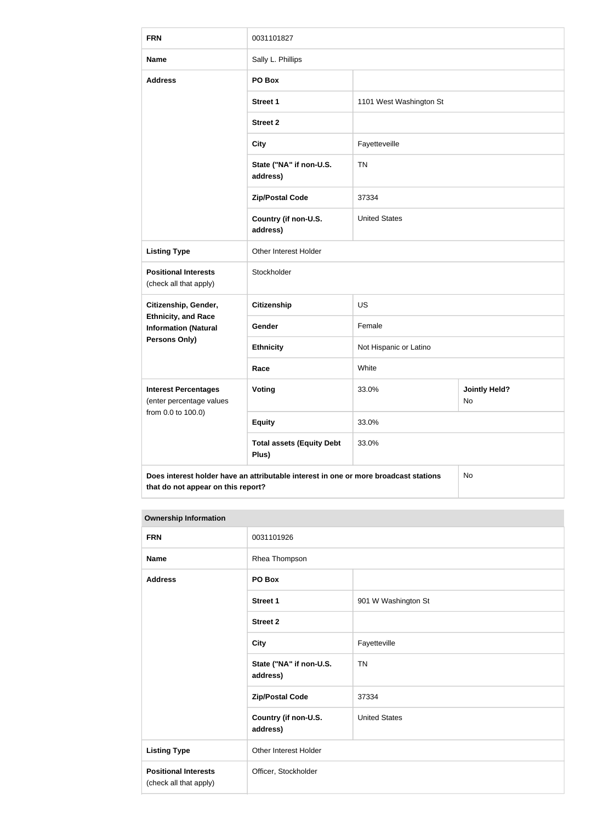| <b>FRN</b>                                                | 0031101827                                                                           |                                     |    |
|-----------------------------------------------------------|--------------------------------------------------------------------------------------|-------------------------------------|----|
| <b>Name</b>                                               | Sally L. Phillips                                                                    |                                     |    |
| <b>Address</b>                                            | PO Box                                                                               |                                     |    |
|                                                           | <b>Street 1</b>                                                                      | 1101 West Washington St             |    |
|                                                           | <b>Street 2</b>                                                                      |                                     |    |
|                                                           | <b>City</b>                                                                          | Fayetteveille                       |    |
|                                                           | State ("NA" if non-U.S.<br>address)                                                  | <b>TN</b>                           |    |
|                                                           | <b>Zip/Postal Code</b>                                                               | 37334                               |    |
|                                                           | Country (if non-U.S.<br>address)                                                     | <b>United States</b>                |    |
| <b>Listing Type</b>                                       | Other Interest Holder                                                                |                                     |    |
| <b>Positional Interests</b><br>(check all that apply)     | Stockholder                                                                          |                                     |    |
| Citizenship, Gender,                                      | <b>Citizenship</b>                                                                   | <b>US</b>                           |    |
| <b>Ethnicity, and Race</b><br><b>Information (Natural</b> | Gender                                                                               | Female                              |    |
| <b>Persons Only)</b>                                      | <b>Ethnicity</b>                                                                     | Not Hispanic or Latino              |    |
|                                                           | Race                                                                                 | White                               |    |
| <b>Interest Percentages</b><br>(enter percentage values   | Voting                                                                               | <b>Jointly Held?</b><br>33.0%<br>No |    |
| from 0.0 to 100.0)                                        | <b>Equity</b>                                                                        | 33.0%                               |    |
|                                                           | <b>Total assets (Equity Debt</b><br>Plus)                                            | 33.0%                               |    |
| that do not appear on this report?                        | Does interest holder have an attributable interest in one or more broadcast stations |                                     | No |

## **Ownership Information**

| <b>FRN</b>                                            | 0031101926                          |                      |
|-------------------------------------------------------|-------------------------------------|----------------------|
| <b>Name</b>                                           | Rhea Thompson                       |                      |
| <b>Address</b>                                        | PO Box                              |                      |
|                                                       | <b>Street 1</b>                     | 901 W Washington St  |
|                                                       | <b>Street 2</b>                     |                      |
|                                                       | <b>City</b>                         | Fayetteville         |
|                                                       | State ("NA" if non-U.S.<br>address) | <b>TN</b>            |
|                                                       | <b>Zip/Postal Code</b>              | 37334                |
|                                                       | Country (if non-U.S.<br>address)    | <b>United States</b> |
| <b>Listing Type</b>                                   | Other Interest Holder               |                      |
| <b>Positional Interests</b><br>(check all that apply) | Officer, Stockholder                |                      |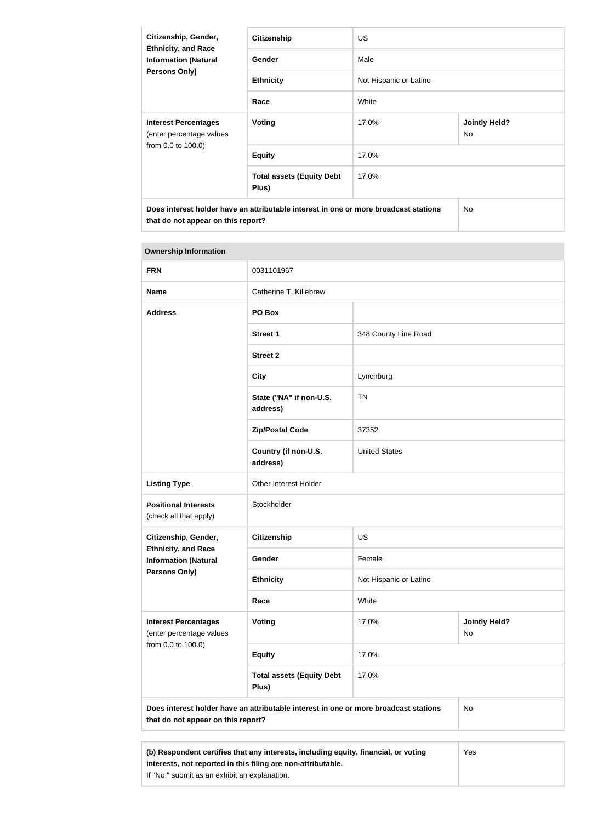| Citizenship, Gender,<br><b>Ethnicity, and Race</b><br><b>Information (Natural</b><br>Persons Only)                         | <b>Citizenship</b>                        | <b>US</b>              |                            |
|----------------------------------------------------------------------------------------------------------------------------|-------------------------------------------|------------------------|----------------------------|
|                                                                                                                            | Gender                                    | Male                   |                            |
|                                                                                                                            | <b>Ethnicity</b>                          | Not Hispanic or Latino |                            |
|                                                                                                                            | Race                                      | White                  |                            |
| <b>Interest Percentages</b><br>(enter percentage values<br>from 0.0 to 100.0)                                              | <b>Voting</b>                             | 17.0%                  | <b>Jointly Held?</b><br>No |
|                                                                                                                            | <b>Equity</b>                             | 17.0%                  |                            |
|                                                                                                                            | <b>Total assets (Equity Debt</b><br>Plus) | 17.0%                  |                            |
| Does interest holder have an attributable interest in one or more broadcast stations<br>that do not appear on this report? |                                           |                        | No.                        |

| <b>Ownership Information</b>                                                                                                            |                                           |                        |                            |  |
|-----------------------------------------------------------------------------------------------------------------------------------------|-------------------------------------------|------------------------|----------------------------|--|
| <b>FRN</b>                                                                                                                              | 0031101967                                |                        |                            |  |
| <b>Name</b>                                                                                                                             | Catherine T. Killebrew                    |                        |                            |  |
| <b>Address</b>                                                                                                                          | PO Box                                    |                        |                            |  |
|                                                                                                                                         | <b>Street 1</b>                           | 348 County Line Road   |                            |  |
|                                                                                                                                         | <b>Street 2</b>                           |                        |                            |  |
|                                                                                                                                         | <b>City</b>                               | Lynchburg              |                            |  |
|                                                                                                                                         | State ("NA" if non-U.S.<br>address)       | <b>TN</b>              |                            |  |
|                                                                                                                                         | <b>Zip/Postal Code</b>                    | 37352                  |                            |  |
|                                                                                                                                         | Country (if non-U.S.<br>address)          | <b>United States</b>   |                            |  |
| <b>Listing Type</b>                                                                                                                     | Other Interest Holder                     |                        |                            |  |
| <b>Positional Interests</b><br>(check all that apply)                                                                                   | Stockholder                               |                        |                            |  |
| Citizenship, Gender,                                                                                                                    | <b>Citizenship</b>                        | US                     |                            |  |
| <b>Ethnicity, and Race</b><br><b>Information (Natural</b>                                                                               | Gender                                    | Female                 |                            |  |
| <b>Persons Only)</b>                                                                                                                    | <b>Ethnicity</b>                          | Not Hispanic or Latino |                            |  |
|                                                                                                                                         | Race                                      | White                  |                            |  |
| <b>Interest Percentages</b><br>(enter percentage values                                                                                 | <b>Voting</b>                             | 17.0%                  | <b>Jointly Held?</b><br>No |  |
| from 0.0 to 100.0)                                                                                                                      | <b>Equity</b>                             | 17.0%                  |                            |  |
|                                                                                                                                         | <b>Total assets (Equity Debt</b><br>Plus) | 17.0%                  |                            |  |
| Does interest holder have an attributable interest in one or more broadcast stations<br><b>No</b><br>that do not appear on this report? |                                           |                        |                            |  |
|                                                                                                                                         |                                           |                        |                            |  |

**(b) Respondent certifies that any interests, including equity, financial, or voting interests, not reported in this filing are non-attributable.** If "No," submit as an exhibit an explanation. Yes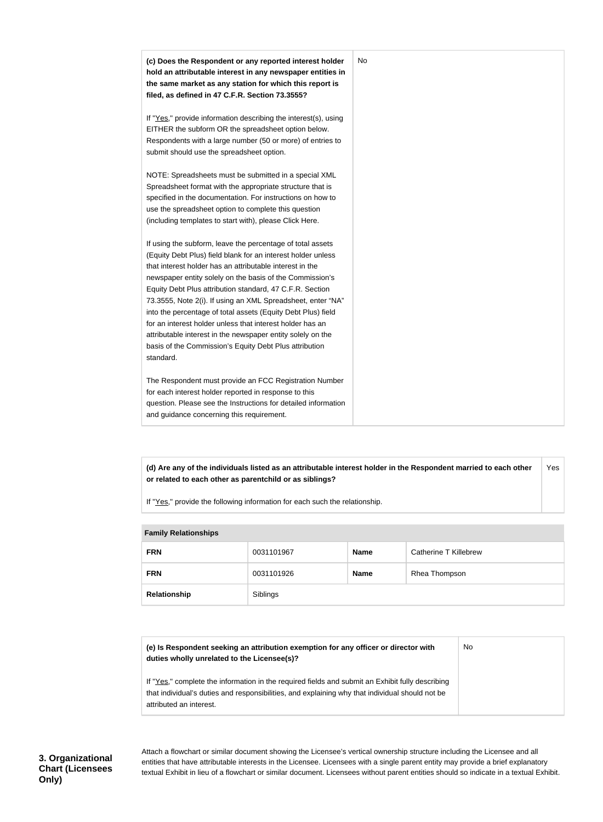| (c) Does the Respondent or any reported interest holder<br>hold an attributable interest in any newspaper entities in     | No |
|---------------------------------------------------------------------------------------------------------------------------|----|
| the same market as any station for which this report is<br>filed, as defined in 47 C.F.R. Section 73.3555?                |    |
|                                                                                                                           |    |
| If "Yes," provide information describing the interest(s), using                                                           |    |
| EITHER the subform OR the spreadsheet option below.                                                                       |    |
| Respondents with a large number (50 or more) of entries to                                                                |    |
| submit should use the spreadsheet option.                                                                                 |    |
| NOTE: Spreadsheets must be submitted in a special XML                                                                     |    |
| Spreadsheet format with the appropriate structure that is                                                                 |    |
| specified in the documentation. For instructions on how to                                                                |    |
| use the spreadsheet option to complete this question                                                                      |    |
| (including templates to start with), please Click Here.                                                                   |    |
| If using the subform, leave the percentage of total assets                                                                |    |
| (Equity Debt Plus) field blank for an interest holder unless                                                              |    |
| that interest holder has an attributable interest in the                                                                  |    |
| newspaper entity solely on the basis of the Commission's                                                                  |    |
| Equity Debt Plus attribution standard, 47 C.F.R. Section                                                                  |    |
| 73.3555, Note 2(i). If using an XML Spreadsheet, enter "NA"                                                               |    |
| into the percentage of total assets (Equity Debt Plus) field<br>for an interest holder unless that interest holder has an |    |
| attributable interest in the newspaper entity solely on the                                                               |    |
| basis of the Commission's Equity Debt Plus attribution                                                                    |    |
| standard.                                                                                                                 |    |
| The Respondent must provide an FCC Registration Number                                                                    |    |
| for each interest holder reported in response to this                                                                     |    |
| question. Please see the Instructions for detailed information                                                            |    |
| and guidance concerning this requirement.                                                                                 |    |

**(d) Are any of the individuals listed as an attributable interest holder in the Respondent married to each other or related to each other as parentchild or as siblings?** Yes

If "Yes," provide the following information for each such the relationship.

| <b>Family Relationships</b> |            |             |                       |
|-----------------------------|------------|-------------|-----------------------|
| <b>FRN</b>                  | 0031101967 | <b>Name</b> | Catherine T Killebrew |
| <b>FRN</b>                  | 0031101926 | <b>Name</b> | Rhea Thompson         |
| Relationship                | Siblings   |             |                       |

| (e) Is Respondent seeking an attribution exemption for any officer or director with<br>duties wholly unrelated to the Licensee(s)?                                                                                             | No |
|--------------------------------------------------------------------------------------------------------------------------------------------------------------------------------------------------------------------------------|----|
| If "Yes," complete the information in the required fields and submit an Exhibit fully describing<br>that individual's duties and responsibilities, and explaining why that individual should not be<br>attributed an interest. |    |

**3. Organizational Chart (Licensees Only)**

Attach a flowchart or similar document showing the Licensee's vertical ownership structure including the Licensee and all entities that have attributable interests in the Licensee. Licensees with a single parent entity may provide a brief explanatory textual Exhibit in lieu of a flowchart or similar document. Licensees without parent entities should so indicate in a textual Exhibit.